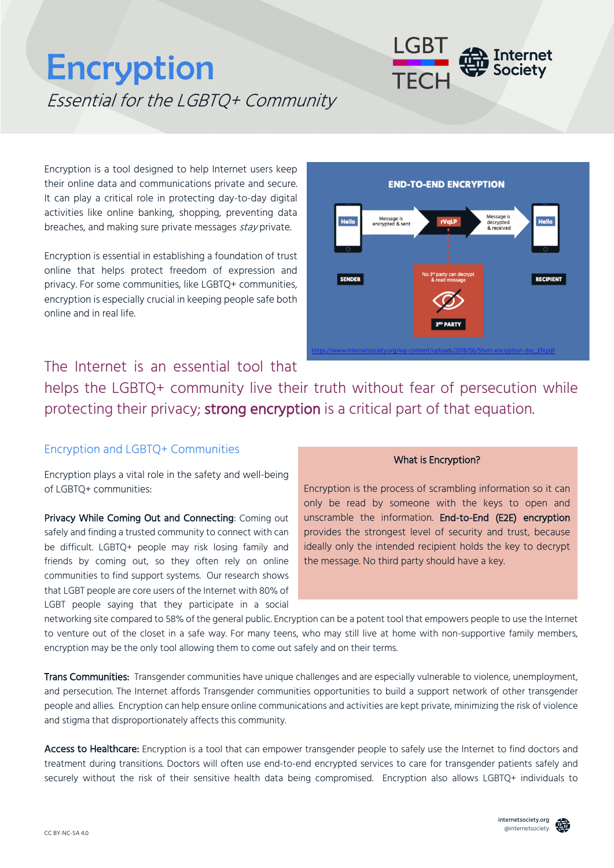# **Encryption** Essential for the LGBTQ+ Community

Encryption is a tool designed to help Internet users keep their online data and communications private and secure. It can play a critical role in protecting day-to-day digital activities like online banking, shopping, preventing data breaches, and making sure private messages stay private.

Encryption is essential in establishing a foundation of trust online that helps protect freedom of expression and privacy. For some communities, like LGBTQ+ communities, encryption is especially crucial in keeping people safe both online and in real life.



# The Internet is an essential tool that

helps the LGBTQ+ community live their truth without fear of persecution while protecting their privacy; strong encryption is a critical part of that equation.

# Encryption and LGBTQ+ Communities

Encryption plays a vital role in the safety and well-being of LGBTQ+ communities:

Privacy While Coming Out and Connecting: Coming out safely and finding a trusted community to connect with can be difficult. LGBTQ+ people may risk losing family and friends by coming out, so they often rely on online communities to find support systems. Our research shows that LGBT people are core users of the Internet with 80% of LGBT people saying that they participate in a social

#### What is Encryption?

Encryption is the process of scrambling information so it can only be read by someone with the keys to open and unscramble the information. End-to-End (E2E) encryption provides the strongest level of security and trust, because ideally only the intended recipient holds the key to decrypt the message. No third party should have a key.

networking site compared to 58% of the general public. Encryption can be a potent tool that empowers people to use the Internet to venture out of the closet in a safe way. For many teens, who may still live at home with non-supportive family members, encryption may be the only tool allowing them to come out safely and on their terms.

Trans Communities: Transgender communities have unique challenges and are especially vulnerable to violence, unemployment, and persecution. The Internet affords Transgender communities opportunities to build a support network of other transgender people and allies. Encryption can help ensure online communications and activities are kept private, minimizing the risk of violence and stigma that disproportionately affects this community.

Access to Healthcare: Encryption is a tool that can empower transgender people to safely use the Internet to find doctors and treatment during transitions. Doctors will often use end-to-end encrypted services to care for transgender patients safely and securely without the risk of their sensitive health data being compromised. Encryption also allows LGBTQ+ individuals to